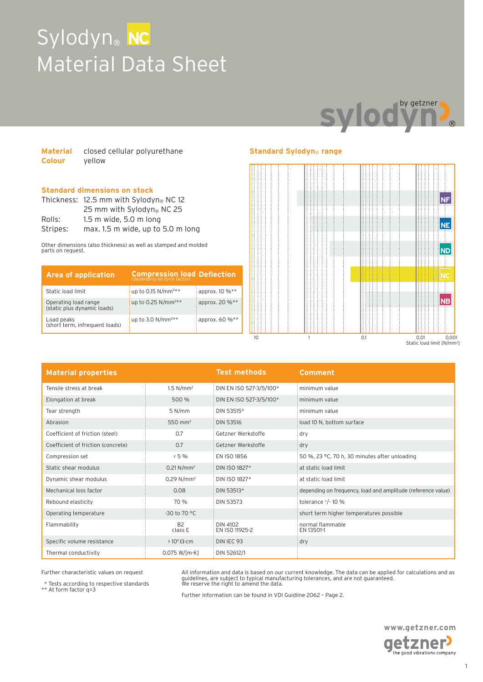## Sylodyn<sup>®</sup> NC Material Data Sheet



| <b>Material</b> | closed cellular polyurethane |
|-----------------|------------------------------|
| <b>Colour</b>   | yellow                       |

#### **Standard dimensions on stock**

|          | Thickness: 12.5 mm with Sylodyn® NC 12 |  |  |
|----------|----------------------------------------|--|--|
|          | 25 mm with Sylodyn <sup>®</sup> NC 25  |  |  |
| Rolls:   | $1.5$ m wide, $5.0$ m long             |  |  |
| Stripes: | max. 1.5 m wide, up to 5.0 m long      |  |  |

Other dimensions (also thickness) as well as stamped and molded parts on request.

| <b>Area of application</b>                          | <b>Compression load Deflection</b> |                |
|-----------------------------------------------------|------------------------------------|----------------|
| Static load limit                                   | up to 0.15 $N/mm^{2**}$            | approx. 10 %** |
| Operating load range<br>(static plus dynamic loads) | up to 0.25 $N/mm^{2**}$            | approx. 20 %** |
| Load peaks<br>(short term, infrequent loads)        | up to 3.0 $N/mm^{2**}$             | approx. 60 %** |

#### **Standard Sylodyn® range**



| <b>Material properties</b>         |                          | <b>Test methods</b>        | Comment                                                      |
|------------------------------------|--------------------------|----------------------------|--------------------------------------------------------------|
| Tensile stress at break            | 1.5 N/mm <sup>2</sup>    | DIN EN ISO 527-3/5/100*    | minimum value                                                |
| Elongation at break                | 500 %                    | DIN EN ISO 527-3/5/100*    | minimum value                                                |
| Tear strength                      | 5 N/mm                   | DIN 53515*                 | minimum value                                                |
| Abrasion                           | 550 mm <sup>3</sup>      | <b>DIN 53516</b>           | load 10 N, bottom surface                                    |
| Coefficient of friction (steel)    | 0.7                      | Getzner Werkstoffe         | dry                                                          |
| Coefficient of friction (concrete) | 0.7                      | Getzner Werkstoffe         | dry                                                          |
| Compression set                    | 5%                       | EN ISO 1856                | 50 %, 23 °C, 70 h, 30 minutes after unloading                |
| Static shear modulus               | $0.21 N/mm^2$            | DIN ISO 1827*              | at static load limit                                         |
| Dynamic shear modulus              | $0.29$ N/mm <sup>2</sup> | DIN ISO 1827*              | at static load limit                                         |
| Mechanical loss factor             | 0.08                     | DIN 53513*                 | depending on frequency, load and amplitude (reference value) |
| Rebound elasticity                 | 70 %                     | <b>DIN 53573</b>           | tolerance $^{+}/^{-}$ 10 %                                   |
| Operating temperature              | -30 to 70 °C             |                            | short term higher temperatures possible                      |
| Flammability                       | <b>B2</b><br>class E     | DIN 4102<br>EN ISO 11925-2 | normal flammable<br>EN 13501-1                               |
| Specific volume resistance         | $>10^{11} \Omega$ cm     | DIN IEC 93                 | dry                                                          |
| Thermal conductivity               | $0.075 W$ [m·K]          | DIN 52612/1                |                                                              |

Further characteristic values on request

\* Tests according to respective standards \*\* At form factor q=3

All information and data is based on our current knowledge. The data can be applied for calculations and as<br>guidelines, are subject to typical manufacturing tolerances, and are not guaranteed.<br>We reserve the right to amend

Further information can be found in VDI Guidline 2062 – Page 2.

**www.getzner.com**  getzner<sup>)</sup> the good vibrations company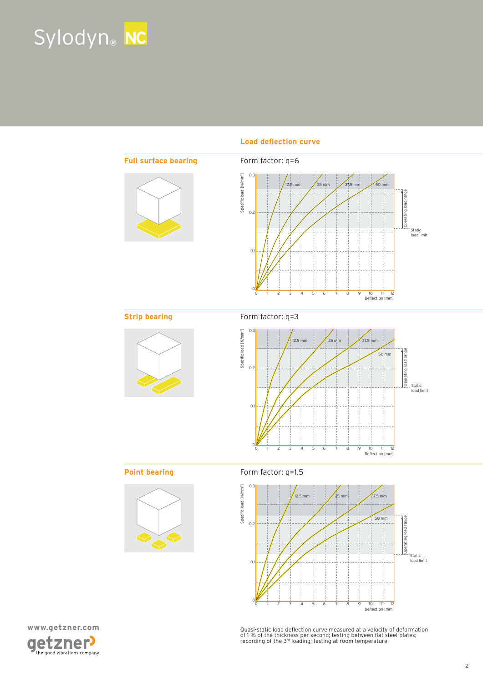# Sylodyn® **NC**



Load deflection curve





Quasi-static load deflection curve measured at a velocity of deformation<br>of 1 % of the thickness per second; testing between flat steel-plates;<br>recording of the 3rª loading; testing at room temperature

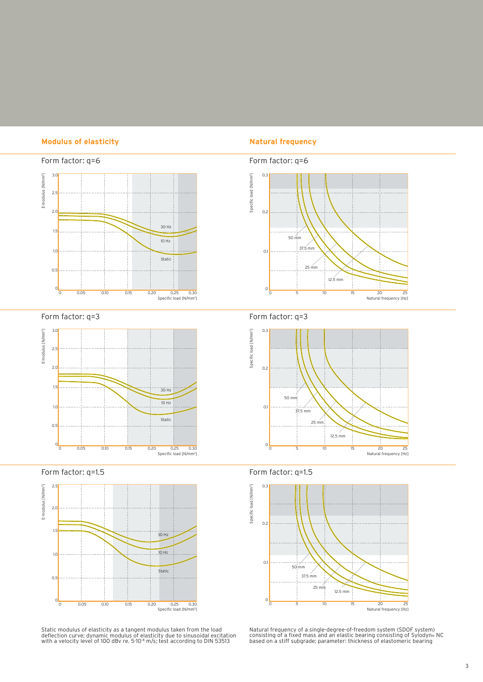#### **Modulus of elasticity Natural frequency**



Form factor: q=3



Form factor: q=1.5



Static modulus of elasticity as a tangent modulus taken from the load<br>deflection curve; dynamic modulus of elasticity due to sinusoidal excitation<br>with a velocity level of 100 dBv re. 5·10<sup>.8</sup> m/s; test according to DIN 53







Form factor: q=1.5



Natural frequency of a single-degree-of-freedom system (SDOF system)<br>consisting of a fixed mass and an elastic bearing consisting of Sylodyn®<br>based on a stiff subgrade; parameter: thickness of elastomeric bearing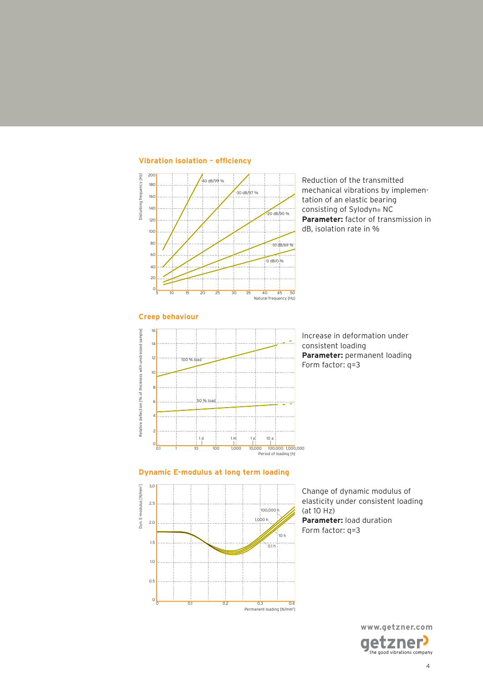

**Vibration isolation – eficiency**

Reduction of the transmitted mechanical vibrations by implementation of an elastic bearing consisting of Sylodyn® NC **Parameter:** factor of transmission in dB, isolation rate in %



Increase in deformation under consistent loading **Parameter:** permanent loading Form factor: q=3

#### **Dynamic E-modulus at long term loading**



Change of dynamic modulus of elasticity under consistent loading (at 10 Hz) **Parameter:** load duration Form factor: q=3

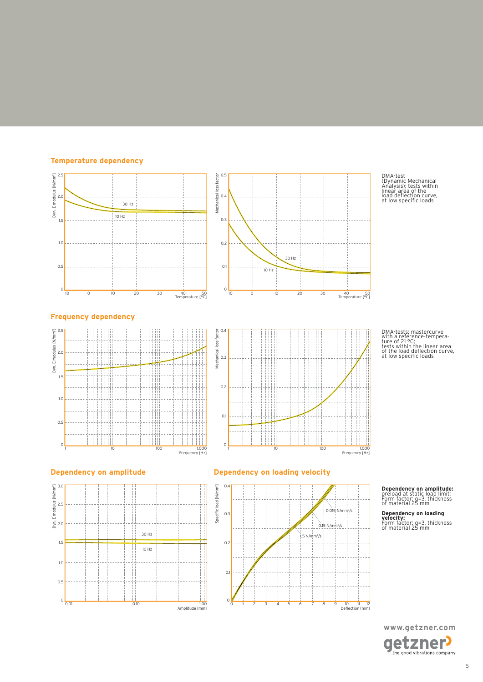#### **Temperature dependency**



DMA-test (Dynamic Mechanical Analysis); tests within linear area of the load delection curve, at low speciic loads

DMA-tests; mastercurve with a reference-tempera-ture of 21 °C; tests within the linear area of the load delection curve, at low speciic loads







#### **Dependency on amplitude Dependency on loading velocity**



### **Dependency on amplitude:** preload at static load limit; Form factor: q=3, thickness of material 25 mm

**Dependency on loading velocity:** Form factor: q=3, thickness of material 25 mm